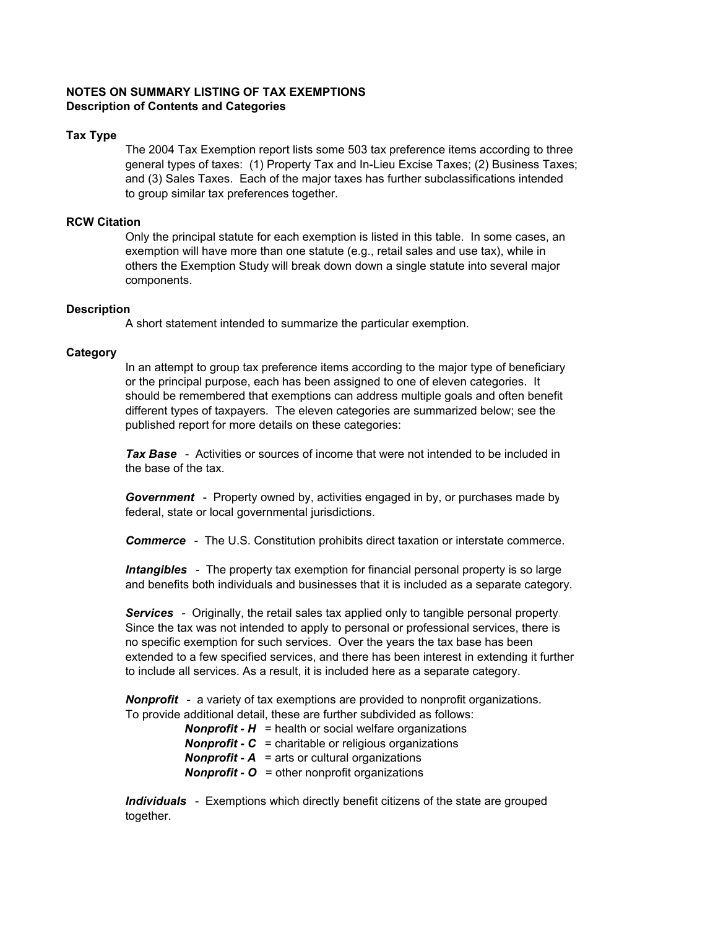# **NOTES ON SUMMARY LISTING OF TAX EXEMPTIONS Description of Contents and Categories**

## **Tax Type**

The 2004 Tax Exemption report lists some 503 tax preference items according to three general types of taxes: (1) Property Tax and In-Lieu Excise Taxes; (2) Business Taxes; and (3) Sales Taxes. Each of the major taxes has further subclassifications intended to group similar tax preferences together.

## **RCW Citation**

Only the principal statute for each exemption is listed in this table. In some cases, an exemption will have more than one statute (e.g., retail sales and use tax), while in others the Exemption Study will break down down a single statute into several major components.

#### **Description**

A short statement intended to summarize the particular exemption.

## **Category**

In an attempt to group tax preference items according to the major type of beneficiary or the principal purpose, each has been assigned to one of eleven categories. It should be remembered that exemptions can address multiple goals and often benefit different types of taxpayers. The eleven categories are summarized below; see the published report for more details on these categories:

*Tax Base* - Activities or sources of income that were not intended to be included in the base of the tax.

*Government* - Property owned by, activities engaged in by, or purchases made by federal, state or local governmental jurisdictions.

*Commerce* - The U.S. Constitution prohibits direct taxation or interstate commerce.

*Intangibles* - The property tax exemption for financial personal property is so large and benefits both individuals and businesses that it is included as a separate category.

*Services* - Originally, the retail sales tax applied only to tangible personal property. Since the tax was not intended to apply to personal or professional services, there is no specific exemption for such services. Over the years the tax base has been extended to a few specified services, and there has been interest in extending it further to include all services. As a result, it is included here as a separate category.

*Nonprofit* - a variety of tax exemptions are provided to nonprofit organizations. To provide additional detail, these are further subdivided as follows:

> *Nonprofit - H* = health or social welfare organizations *Nonprofit - C* = charitable or religious organizations *Nonprofit - A* = arts or cultural organizations *Nonprofit - O* = other nonprofit organizations

*Individuals* - Exemptions which directly benefit citizens of the state are grouped together.